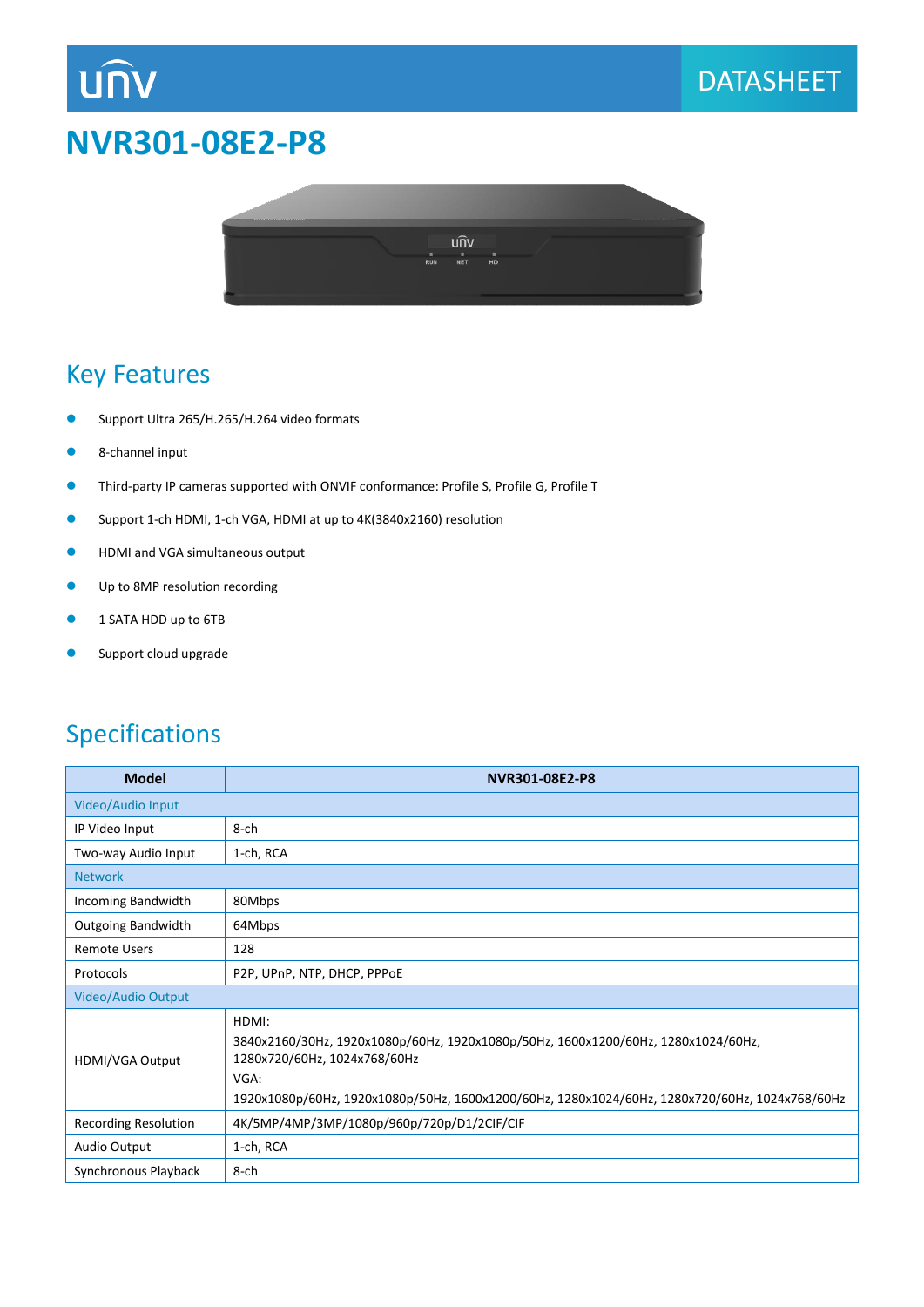# **NVR301-08E2-P8**





### Key Features

**UNV** 

- **Support Ultra 265/H.265/H.264 video formats**
- 8-channel input
- Third-party IP cameras supported with ONVIF conformance: Profile S, Profile G, Profile T
- Support 1-ch HDMI, 1-ch VGA, HDMI at up to 4K(3840x2160) resolution
- **•** HDMI and VGA simultaneous output
- **Up to 8MP resolution recording**
- **1 SATA HDD up to 6TB**
- **Support cloud upgrade**

### Specifications

| <b>Model</b>                | NVR301-08E2-P8                                                                                                                                                                                                                       |
|-----------------------------|--------------------------------------------------------------------------------------------------------------------------------------------------------------------------------------------------------------------------------------|
| Video/Audio Input           |                                                                                                                                                                                                                                      |
| IP Video Input              | 8-ch                                                                                                                                                                                                                                 |
| Two-way Audio Input         | 1-ch, RCA                                                                                                                                                                                                                            |
| <b>Network</b>              |                                                                                                                                                                                                                                      |
| Incoming Bandwidth          | 80Mbps                                                                                                                                                                                                                               |
| <b>Outgoing Bandwidth</b>   | 64Mbps                                                                                                                                                                                                                               |
| <b>Remote Users</b>         | 128                                                                                                                                                                                                                                  |
| Protocols                   | P2P, UPnP, NTP, DHCP, PPPoE                                                                                                                                                                                                          |
| Video/Audio Output          |                                                                                                                                                                                                                                      |
| <b>HDMI/VGA Output</b>      | HDMI:<br>3840x2160/30Hz, 1920x1080p/60Hz, 1920x1080p/50Hz, 1600x1200/60Hz, 1280x1024/60Hz,<br>1280x720/60Hz, 1024x768/60Hz<br>VGA:<br>1920x1080p/60Hz, 1920x1080p/50Hz, 1600x1200/60Hz, 1280x1024/60Hz, 1280x720/60Hz, 1024x768/60Hz |
| <b>Recording Resolution</b> | 4K/5MP/4MP/3MP/1080p/960p/720p/D1/2CIF/CIF                                                                                                                                                                                           |
| Audio Output                | 1-ch, RCA                                                                                                                                                                                                                            |
| Synchronous Playback        | 8-ch                                                                                                                                                                                                                                 |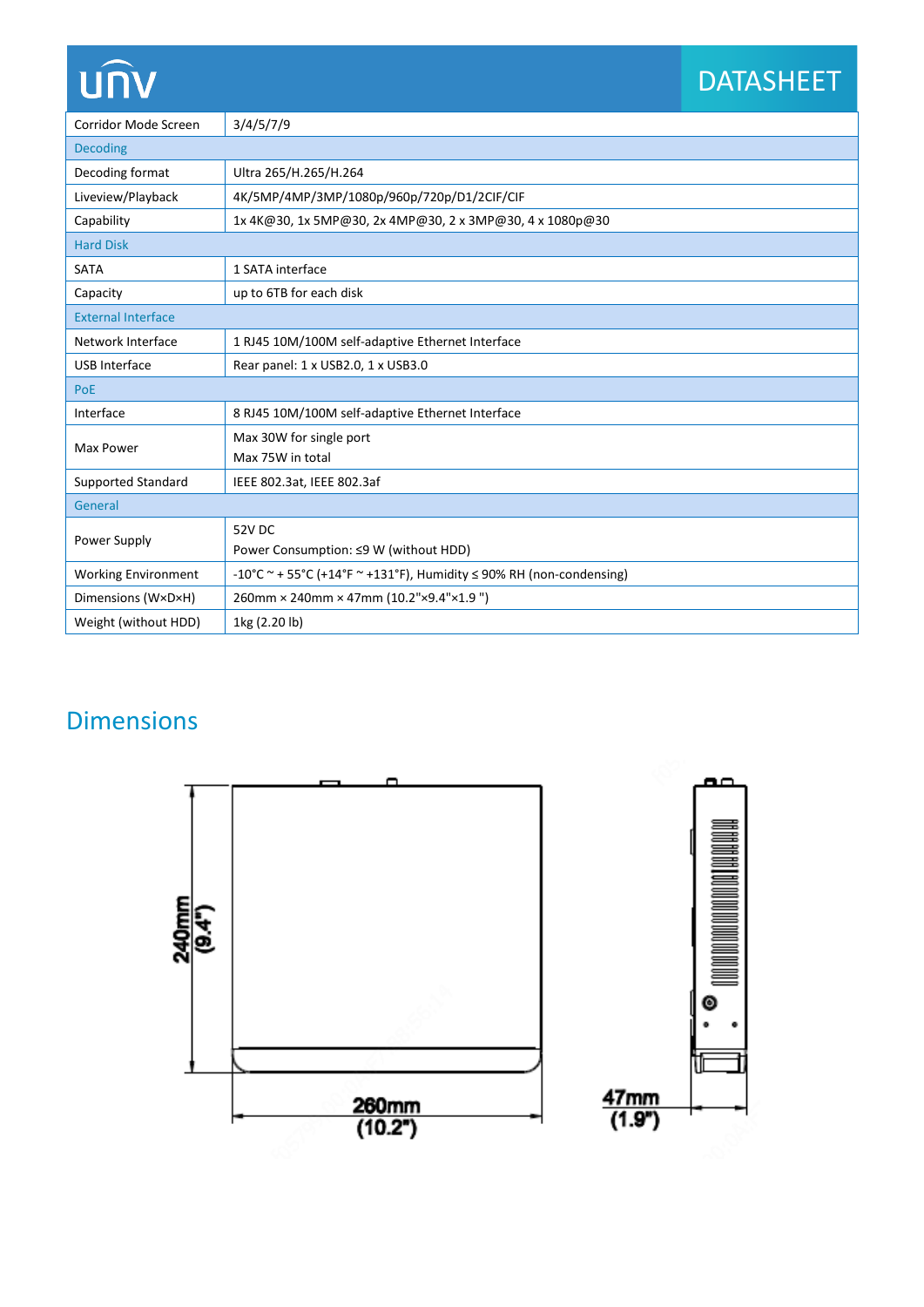# UN

# DATASHEET

| Corridor Mode Screen       | 3/4/5/7/9                                                                |
|----------------------------|--------------------------------------------------------------------------|
| <b>Decoding</b>            |                                                                          |
| Decoding format            | Ultra 265/H.265/H.264                                                    |
| Liveview/Playback          | 4K/5MP/4MP/3MP/1080p/960p/720p/D1/2CIF/CIF                               |
| Capability                 | 1x 4K@30, 1x 5MP@30, 2x 4MP@30, 2x 3MP@30, 4x 1080p@30                   |
| <b>Hard Disk</b>           |                                                                          |
| <b>SATA</b>                | 1 SATA interface                                                         |
| Capacity                   | up to 6TB for each disk                                                  |
| <b>External Interface</b>  |                                                                          |
| Network Interface          | 1 RJ45 10M/100M self-adaptive Ethernet Interface                         |
| <b>USB</b> Interface       | Rear panel: 1 x USB2.0, 1 x USB3.0                                       |
| PoE                        |                                                                          |
| Interface                  | 8 RJ45 10M/100M self-adaptive Ethernet Interface                         |
| Max Power                  | Max 30W for single port                                                  |
|                            | Max 75W in total                                                         |
| Supported Standard         | IEEE 802.3at, IEEE 802.3af                                               |
| General                    |                                                                          |
| Power Supply               | 52V DC                                                                   |
|                            | Power Consumption: ≤9 W (without HDD)                                    |
| <b>Working Environment</b> | -10°C ~ + 55°C (+14°F ~ +131°F), Humidity $\leq$ 90% RH (non-condensing) |
| Dimensions (W×D×H)         | 260mm × 240mm × 47mm (10.2"×9.4"×1.9")                                   |
| Weight (without HDD)       | 1kg (2.20 lb)                                                            |

## Dimensions